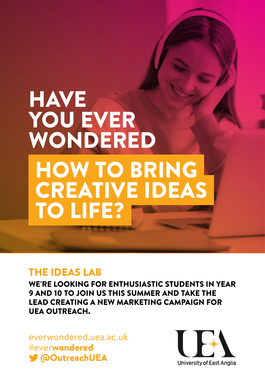# **HAVE** YOU EVER WONDERED HOW TO BRING CREATIVE IDEAS TO LIFE?

## THE IDEAS LAB

WE'RE LOOKING FOR ENTHUSIASTIC STUDENTS IN YEAR 9 AND 10 TO JOIN US THIS SUMMER AND TAKE THE LEAD CREATING A NEW MARKETING CAMPAIGN FOR UEA OUTREACH.

[everwondered.uea.ac.uk](https://everwondered.uea.ac.uk/) #everwondered [@OutreachUEA](https://app.outfit.io/previews/a39a9af0-c22f-11e8-9e03-af409ae3f83a/exports/2049076/p/@OutreachUEA)